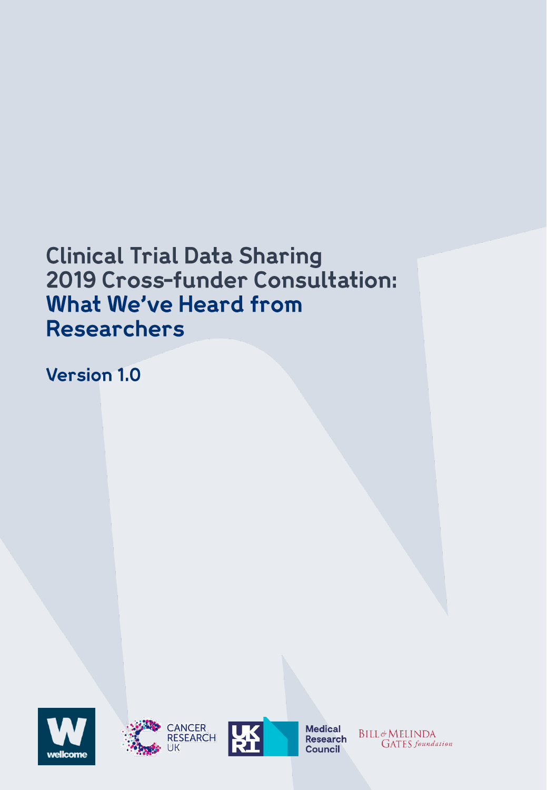## **Clinical Trial Data Sharing** 2019 Cross-funder Consultation: What We've Heard from **Researchers**

**Version 1.0** 







**Medical Research Council** 

**BILL**&MELINDA **GATES** foundation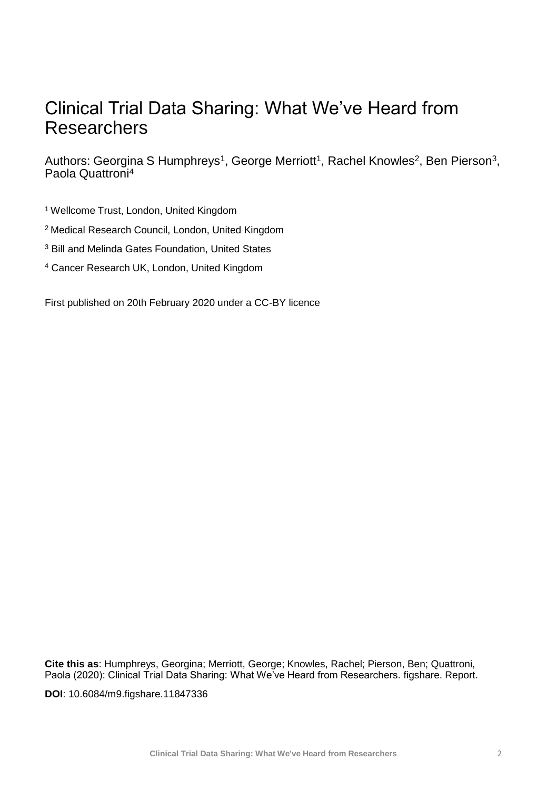## Clinical Trial Data Sharing: What We've Heard from Researchers

Authors: Georgina S Humphreys<sup>1</sup>, George Merriott<sup>1</sup>, Rachel Knowles<sup>2</sup>, Ben Pierson<sup>3</sup>, Paola Quattroni<sup>4</sup>

<sup>1</sup>Wellcome Trust, London, United Kingdom

<sup>2</sup>Medical Research Council, London, United Kingdom

<sup>3</sup> Bill and Melinda Gates Foundation, United States

<sup>4</sup> Cancer Research UK, London, United Kingdom

First published on 20th February 2020 under a CC-BY licence

**Cite this as**: Humphreys, Georgina; Merriott, George; Knowles, Rachel; Pierson, Ben; Quattroni, Paola (2020): Clinical Trial Data Sharing: What We've Heard from Researchers. figshare. Report.

**DOI**: 10.6084/m9.figshare.11847336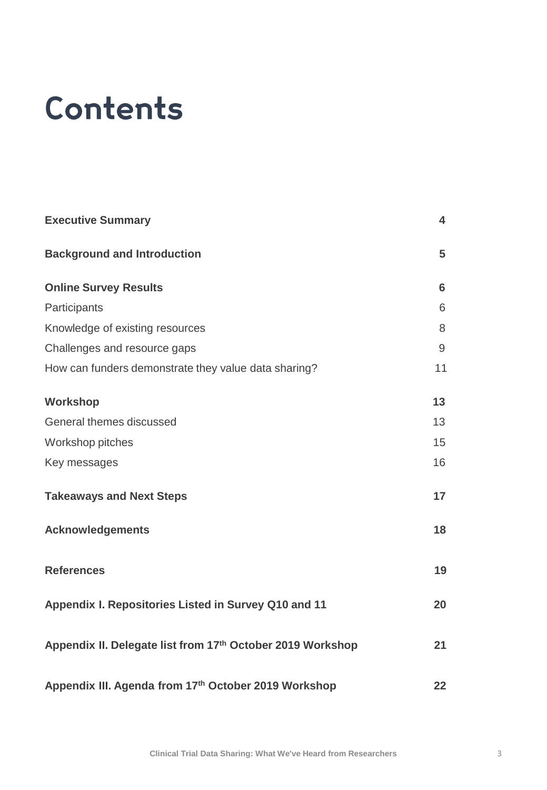# Contents

| <b>Executive Summary</b>                                   |    |
|------------------------------------------------------------|----|
| <b>Background and Introduction</b>                         | 5  |
| <b>Online Survey Results</b>                               | 6  |
| Participants                                               | 6  |
| Knowledge of existing resources                            | 8  |
| Challenges and resource gaps                               | 9  |
| How can funders demonstrate they value data sharing?       | 11 |
| Workshop                                                   | 13 |
| General themes discussed                                   | 13 |
| Workshop pitches                                           | 15 |
| Key messages                                               | 16 |
| <b>Takeaways and Next Steps</b>                            | 17 |
| <b>Acknowledgements</b>                                    | 18 |
| <b>References</b>                                          | 19 |
| Appendix I. Repositories Listed in Survey Q10 and 11       | 20 |
| Appendix II. Delegate list from 17th October 2019 Workshop | 21 |
| Appendix III. Agenda from 17th October 2019 Workshop       | 22 |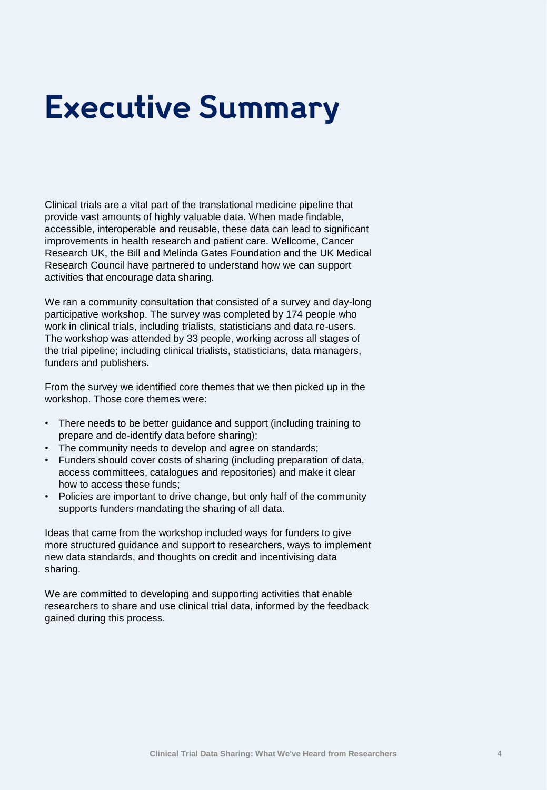## **Executive Summary**

Clinical trials are a vital part of the translational medicine pipeline that provide vast amounts of highly valuable data. When made findable, accessible, interoperable and reusable, these data can lead to significant improvements in health research and patient care. Wellcome, Cancer Research UK, the Bill and Melinda Gates Foundation and the UK Medical Research Council have partnered to understand how we can support activities that encourage data sharing.

We ran a community consultation that consisted of a survey and day-long participative workshop. The survey was completed by 174 people who work in clinical trials, including trialists, statisticians and data re-users. The workshop was attended by 33 people, working across all stages of the trial pipeline; including clinical trialists, statisticians, data managers, funders and publishers.

From the survey we identified core themes that we then picked up in the workshop. Those core themes were:

- There needs to be better guidance and support (including training to prepare and de-identify data before sharing);
- The community needs to develop and agree on standards;
- Funders should cover costs of sharing (including preparation of data, access committees, catalogues and repositories) and make it clear how to access these funds;
- Policies are important to drive change, but only half of the community supports funders mandating the sharing of all data.

Ideas that came from the workshop included ways for funders to give more structured guidance and support to researchers, ways to implement new data standards, and thoughts on credit and incentivising data sharing.

We are committed to developing and supporting activities that enable researchers to share and use clinical trial data, informed by the feedback gained during this process.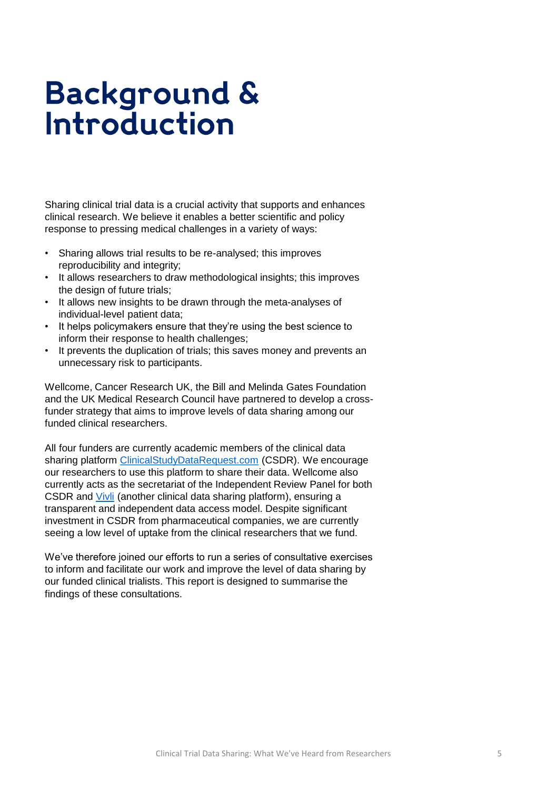## **Background & Introduction**

Sharing clinical trial data is a crucial activity that supports and enhances clinical research. We believe it enables a better scientific and policy response to pressing medical challenges in a variety of ways:

- Sharing allows trial results to be re-analysed; this improves reproducibility and integrity;
- It allows researchers to draw methodological insights; this improves the design of future trials;
- It allows new insights to be drawn through the meta-analyses of individual-level patient data;
- It helps policymakers ensure that they're using the best science to inform their response to health challenges;
- It prevents the duplication of trials; this saves money and prevents an unnecessary risk to participants.

Wellcome, Cancer Research UK, the Bill and Melinda Gates Foundation and the UK Medical Research Council have partnered to develop a crossfunder strategy that aims to improve levels of data sharing among our funded clinical researchers.

All four funders are currently academic members of the clinical data sharing platform [ClinicalStudyDataRequest.com](https://www.clinicalstudydatarequest.com/) (CSDR). We encourage our researchers to use this platform to share their data. Wellcome also currently acts as the secretariat of the Independent Review Panel for both CSDR and [Vivli](https://vivli.org/) (another clinical data sharing platform), ensuring a transparent and independent data access model. Despite significant investment in CSDR from pharmaceutical companies, we are currently seeing a low level of uptake from the clinical researchers that we fund.

We've therefore joined our efforts to run a series of consultative exercises to inform and facilitate our work and improve the level of data sharing by our funded clinical trialists. This report is designed to summarise the findings of these consultations.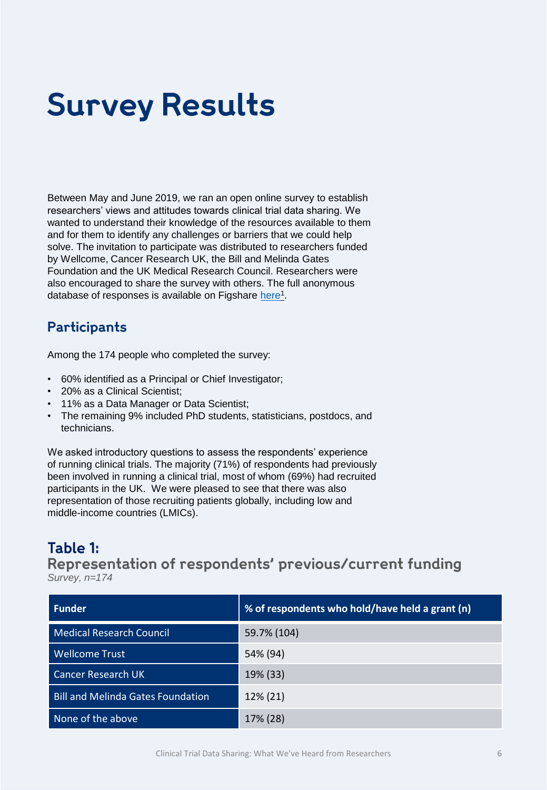# **Survey Results**

Between May and June 2019, we ran an open online survey to establish researchers' views and attitudes towards clinical trial data sharing. We wanted to understand their knowledge of the resources available to them and for them to identify any challenges or barriers that we could help solve. The invitation to participate was distributed to researchers funded by Wellcome, Cancer Research UK, the Bill and Melinda Gates Foundation and the UK Medical Research Council. Researchers were also encouraged to share the survey with others. The full anonymous database of responses is available on Figshare [here](https://doi.org/10.6084/m9.figshare.11603295.v1)<sup>1</sup>.

## Participants

Among the 174 people who completed the survey:

- 60% identified as a Principal or Chief Investigator;
- 20% as a Clinical Scientist;
- 11% as a Data Manager or Data Scientist;
- The remaining 9% included PhD students, statisticians, postdocs, and technicians.

We asked introductory questions to assess the respondents' experience of running clinical trials. The majority (71%) of respondents had previously been involved in running a clinical trial, most of whom (69%) had recruited participants in the UK. We were pleased to see that there was also representation of those recruiting patients globally, including low and middle-income countries (LMICs).

## Table 1:

Representation of respondents' previous/current funding *Survey, n=174* 

| <b>Funder</b>                            | % of respondents who hold/have held a grant (n) |
|------------------------------------------|-------------------------------------------------|
| <b>Medical Research Council</b>          | 59.7% (104)                                     |
| <b>Wellcome Trust</b>                    | 54% (94)                                        |
| <b>Cancer Research UK</b>                | 19% (33)                                        |
| <b>Bill and Melinda Gates Foundation</b> | 12% (21)                                        |
| None of the above                        | 17% (28)                                        |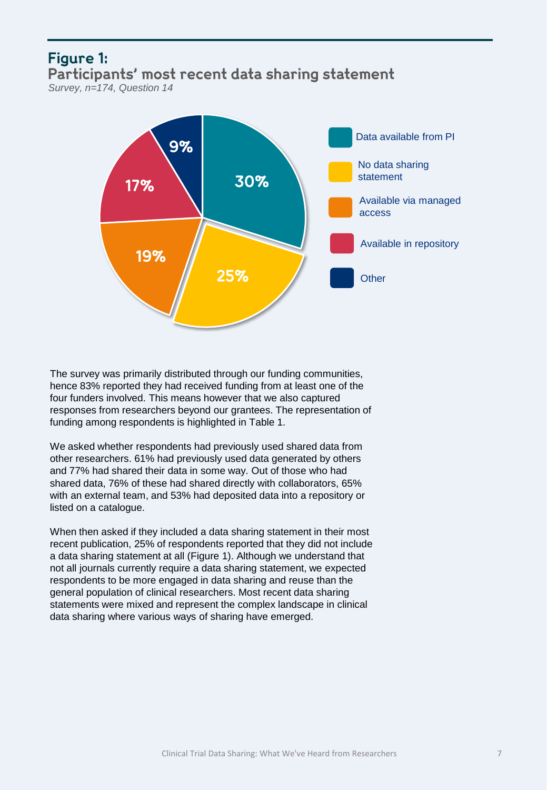## **Figure 1:** Participants' most recent data sharing statement *Survey, n=174, Question 14*



The survey was primarily distributed through our funding communities, hence 83% reported they had received funding from at least one of the four funders involved. This means however that we also captured responses from researchers beyond our grantees. The representation of funding among respondents is highlighted in Table 1.

We asked whether respondents had previously used shared data from other researchers. 61% had previously used data generated by others and 77% had shared their data in some way. Out of those who had shared data, 76% of these had shared directly with collaborators, 65% with an external team, and 53% had deposited data into a repository or listed on a catalogue.

When then asked if they included a data sharing statement in their most recent publication, 25% of respondents reported that they did not include a data sharing statement at all (Figure 1). Although we understand that not all journals currently require a data sharing statement, we expected respondents to be more engaged in data sharing and reuse than the general population of clinical researchers. Most recent data sharing statements were mixed and represent the complex landscape in clinical data sharing where various ways of sharing have emerged.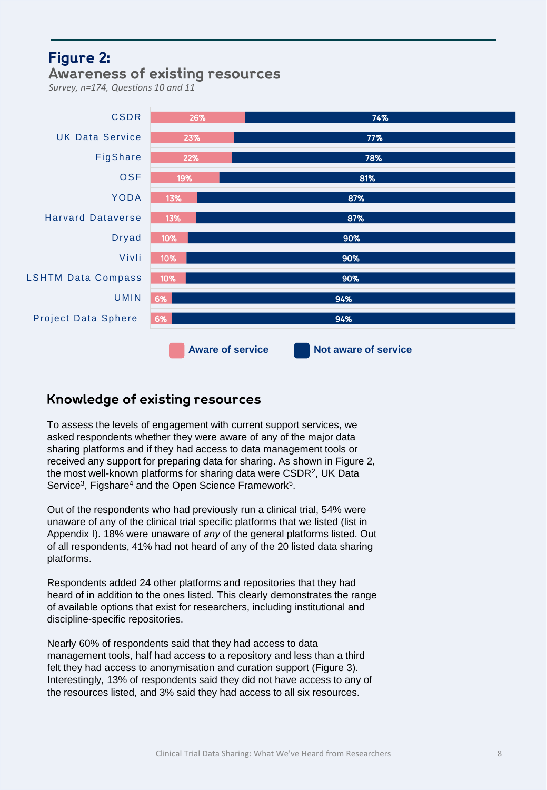## **Figure 2: Awareness of existing resources**

*Survey, n=174, Questions 10 and 11*



## Knowledge of existing resources

To assess the levels of engagement with current support services, we asked respondents whether they were aware of any of the major data sharing platforms and if they had access to data management tools or received any support for preparing data for sharing. As shown in Figure 2, the most well-known platforms for sharing data were CSDR<sup>2</sup>, UK Data Service<sup>3</sup>, Figshare<sup>4</sup> and the Open Science Framework<sup>5</sup>.

Out of the respondents who had previously run a clinical trial, 54% were unaware of any of the clinical trial specific platforms that we listed (list in Appendix I). 18% were unaware of *any* of the general platforms listed. Out of all respondents, 41% had not heard of any of the 20 listed data sharing platforms.

Respondents added 24 other platforms and repositories that they had heard of in addition to the ones listed. This clearly demonstrates the range of available options that exist for researchers, including institutional and discipline-specific repositories.

Nearly 60% of respondents said that they had access to data management tools, half had access to a repository and less than a third felt they had access to anonymisation and curation support (Figure 3). Interestingly, 13% of respondents said they did not have access to any of the resources listed, and 3% said they had access to all six resources.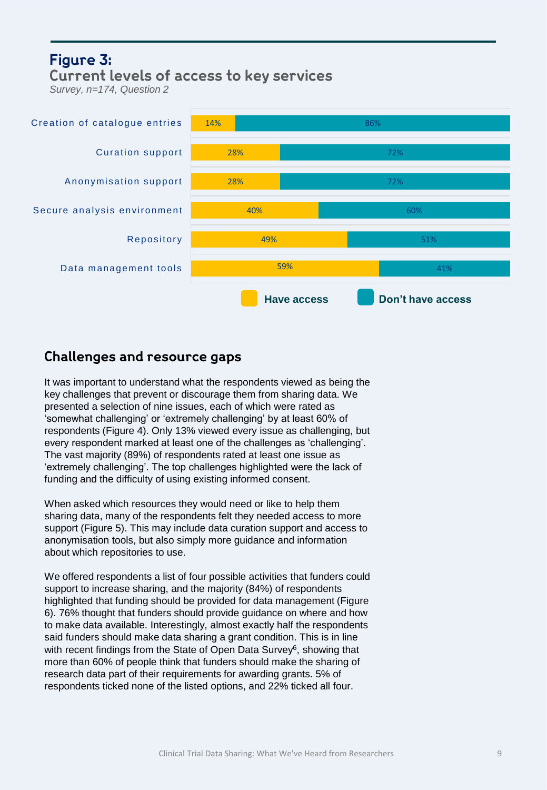## **Figure 3: Current levels of access to key services**

*Survey, n=174, Question 2*



## Challenges and resource gaps

It was important to understand what the respondents viewed as being the key challenges that prevent or discourage them from sharing data. We presented a selection of nine issues, each of which were rated as 'somewhat challenging' or 'extremely challenging' by at least 60% of respondents (Figure 4). Only 13% viewed every issue as challenging, but every respondent marked at least one of the challenges as 'challenging'. The vast majority (89%) of respondents rated at least one issue as 'extremely challenging'. The top challenges highlighted were the lack of funding and the difficulty of using existing informed consent.

When asked which resources they would need or like to help them sharing data, many of the respondents felt they needed access to more support (Figure 5). This may include data curation support and access to anonymisation tools, but also simply more guidance and information about which repositories to use.

We offered respondents a list of four possible activities that funders could support to increase sharing, and the majority (84%) of respondents highlighted that funding should be provided for data management (Figure 6). 76% thought that funders should provide guidance on where and how to make data available. Interestingly, almost exactly half the respondents said funders should make data sharing a grant condition. This is in line with recent findings from the State of Open Data Survey<sup>6</sup>, showing that more than 60% of people think that funders should make the sharing of research data part of their requirements for awarding grants. 5% of respondents ticked none of the listed options, and 22% ticked all four.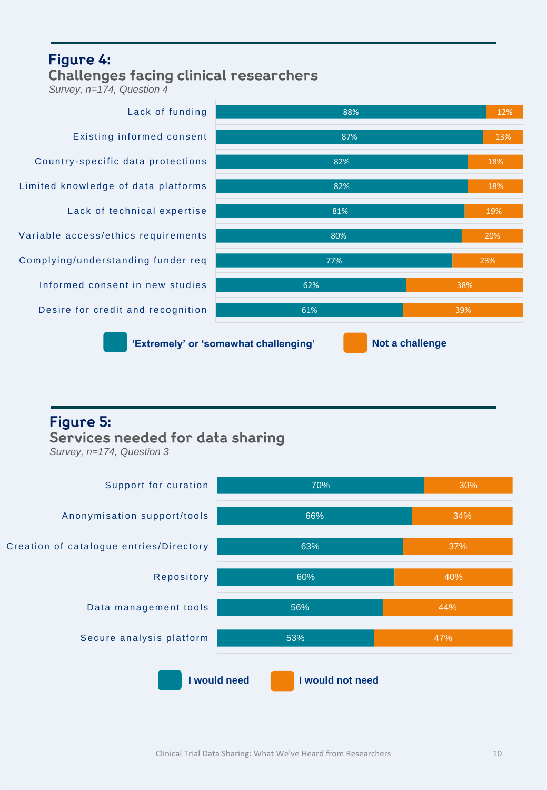## Figure 4: **Challenges facing clinical researchers**

*Survey, n=174, Question 4*



## **Figure 5:** Services needed for data sharing

*Survey, n=174, Question 3*

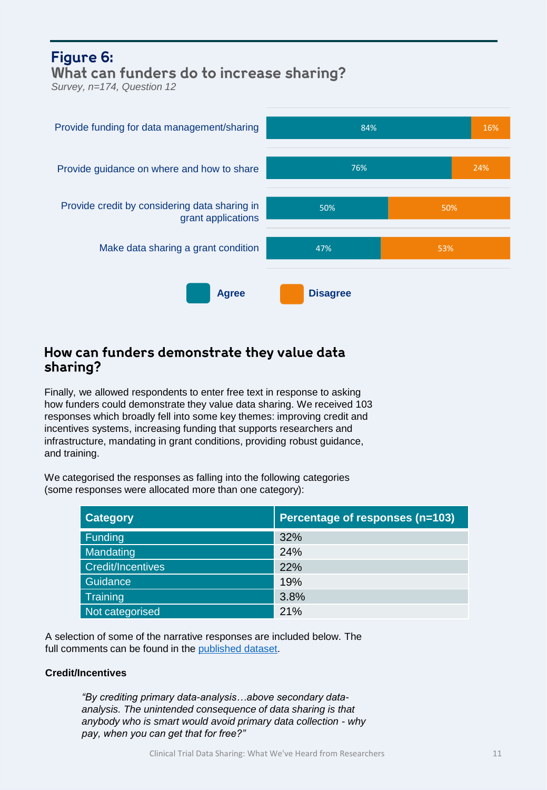## Figure 6: What can funders do to increase sharing?

*Survey, n=174, Question 12* 



## How can funders demonstrate they value data sharing?

Finally, we allowed respondents to enter free text in response to asking how funders could demonstrate they value data sharing. We received 103 responses which broadly fell into some key themes: improving credit and incentives systems, increasing funding that supports researchers and infrastructure, mandating in grant conditions, providing robust guidance, and training.

We categorised the responses as falling into the following categories (some responses were allocated more than one category):

| <b>Category</b>          | Percentage of responses (n=103) |
|--------------------------|---------------------------------|
| Funding                  | 32%                             |
| Mandating                | 24%                             |
| <b>Credit/Incentives</b> | 22%                             |
| Guidance                 | 19%                             |
| <b>Training</b>          | 3.8%                            |
| Not categorised          | 21%                             |

A selection of some of the narrative responses are included below. The full comments can be found in the [published dataset.](https://doi.org/10.6084/m9.figshare.11603295.v1)

### **Credit/Incentives**

*"By crediting primary data-analysis…above secondary dataanalysis. The unintended consequence of data sharing is that anybody who is smart would avoid primary data collection - why pay, when you can get that for free?"*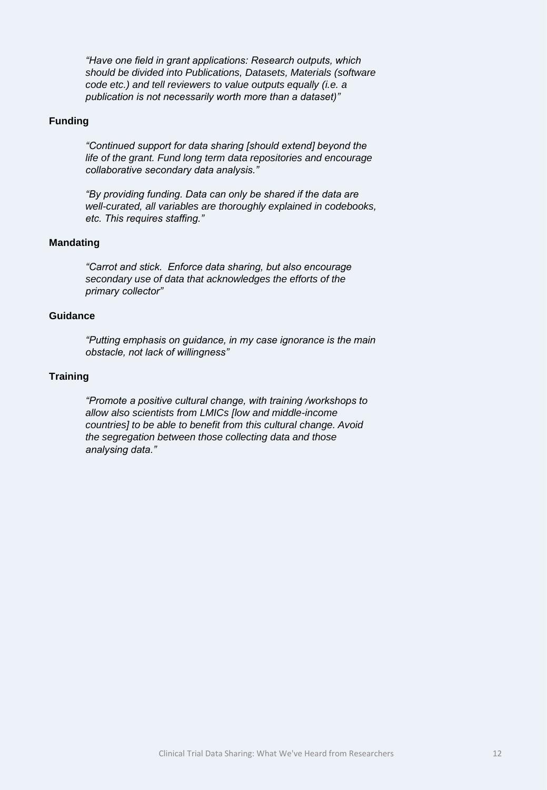*"Have one field in grant applications: Research outputs, which should be divided into Publications, Datasets, Materials (software code etc.) and tell reviewers to value outputs equally (i.e. a publication is not necessarily worth more than a dataset)"*

#### **Funding**

*"Continued support for data sharing [should extend] beyond the life of the grant. Fund long term data repositories and encourage collaborative secondary data analysis."*

*"By providing funding. Data can only be shared if the data are well-curated, all variables are thoroughly explained in codebooks, etc. This requires staffing."*

#### **Mandating**

*"Carrot and stick. Enforce data sharing, but also encourage secondary use of data that acknowledges the efforts of the primary collector"*

#### **Guidance**

*"Putting emphasis on guidance, in my case ignorance is the main obstacle, not lack of willingness"*

#### **Training**

*"Promote a positive cultural change, with training /workshops to allow also scientists from LMICs [low and middle-income countries] to be able to benefit from this cultural change. Avoid the segregation between those collecting data and those analysing data."*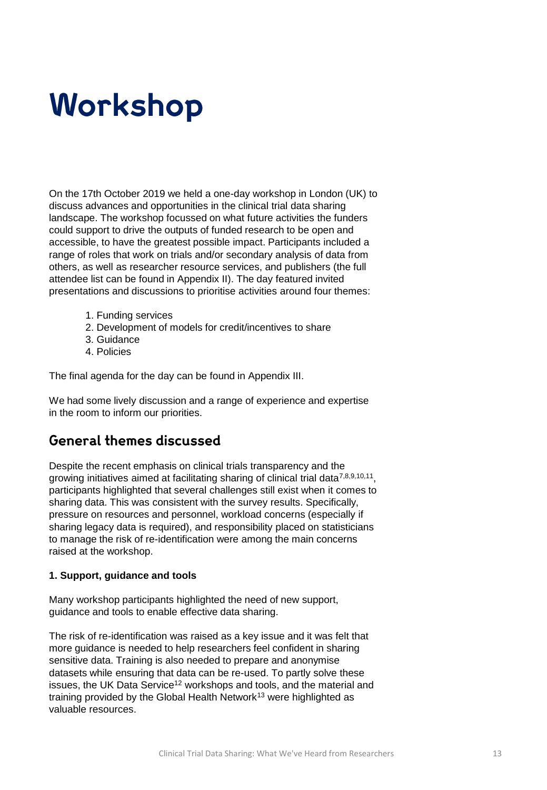# Workshop

On the 17th October 2019 we held a one-day workshop in London (UK) to discuss advances and opportunities in the clinical trial data sharing landscape. The workshop focussed on what future activities the funders could support to drive the outputs of funded research to be open and accessible, to have the greatest possible impact. Participants included a range of roles that work on trials and/or secondary analysis of data from others, as well as researcher resource services, and publishers (the full attendee list can be found in Appendix II). The day featured invited presentations and discussions to prioritise activities around four themes:

- 1. Funding services
- 2. Development of models for credit/incentives to share
- 3. Guidance
- 4. Policies

The final agenda for the day can be found in Appendix III.

We had some lively discussion and a range of experience and expertise in the room to inform our priorities.

## **General themes discussed**

Despite the recent emphasis on clinical trials transparency and the growing initiatives aimed at facilitating sharing of clinical trial data<sup>7,8,9,10,11</sup>, participants highlighted that several challenges still exist when it comes to sharing data. This was consistent with the survey results. Specifically, pressure on resources and personnel, workload concerns (especially if sharing legacy data is required), and responsibility placed on statisticians to manage the risk of re-identification were among the main concerns raised at the workshop.

### **1. Support, guidance and tools**

Many workshop participants highlighted the need of new support, guidance and tools to enable effective data sharing.

The risk of re-identification was raised as a key issue and it was felt that more guidance is needed to help researchers feel confident in sharing sensitive data. Training is also needed to prepare and anonymise datasets while ensuring that data can be re-used. To partly solve these issues, the UK Data Service<sup>12</sup> workshops and tools, and the material and training provided by the Global Health Network<sup>13</sup> were highlighted as valuable resources.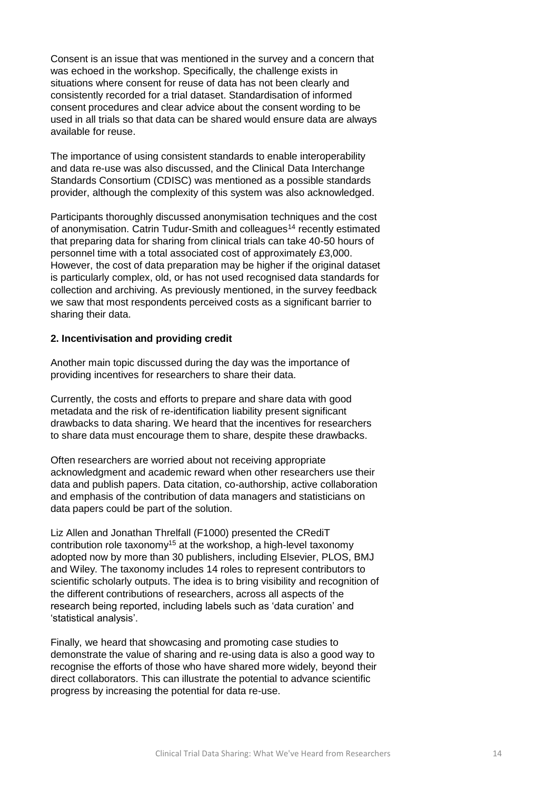Consent is an issue that was mentioned in the survey and a concern that was echoed in the workshop. Specifically, the challenge exists in situations where consent for reuse of data has not been clearly and consistently recorded for a trial dataset. Standardisation of informed consent procedures and clear advice about the consent wording to be used in all trials so that data can be shared would ensure data are always available for reuse.

The importance of using consistent standards to enable interoperability and data re-use was also discussed, and the Clinical Data Interchange Standards Consortium (CDISC) was mentioned as a possible standards provider, although the complexity of this system was also acknowledged.

Participants thoroughly discussed anonymisation techniques and the cost of anonymisation. Catrin Tudur-Smith and colleagues<sup>14</sup> recently estimated that preparing data for sharing from clinical trials can take 40-50 hours of personnel time with a total associated cost of approximately £3,000. However, the cost of data preparation may be higher if the original dataset is particularly complex, old, or has not used recognised data standards for collection and archiving. As previously mentioned, in the survey feedback we saw that most respondents perceived costs as a significant barrier to sharing their data.

#### **2. Incentivisation and providing credit**

Another main topic discussed during the day was the importance of providing incentives for researchers to share their data.

Currently, the costs and efforts to prepare and share data with good metadata and the risk of re-identification liability present significant drawbacks to data sharing. We heard that the incentives for researchers to share data must encourage them to share, despite these drawbacks.

Often researchers are worried about not receiving appropriate acknowledgment and academic reward when other researchers use their data and publish papers. Data citation, co-authorship, active collaboration and emphasis of the contribution of data managers and statisticians on data papers could be part of the solution.

Liz Allen and Jonathan Threlfall (F1000) presented the CRediT contribution role taxonomy<sup>15</sup> at the workshop, a high-level taxonomy adopted now by more than 30 publishers, including Elsevier, PLOS, BMJ and Wiley. The taxonomy includes 14 roles to represent contributors to scientific scholarly outputs. The idea is to bring visibility and recognition of the different contributions of researchers, across all aspects of the research being reported, including labels such as 'data curation' and 'statistical analysis'.

Finally, we heard that showcasing and promoting case studies to demonstrate the value of sharing and re-using data is also a good way to recognise the efforts of those who have shared more widely, beyond their direct collaborators. This can illustrate the potential to advance scientific progress by increasing the potential for data re-use.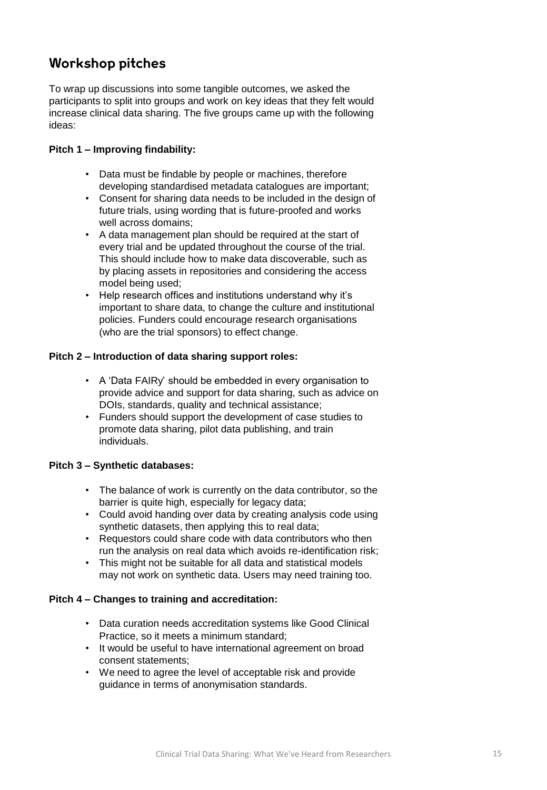## **Workshop pitches**

To wrap up discussions into some tangible outcomes, we asked the participants to split into groups and work on key ideas that they felt would increase clinical data sharing. The five groups came up with the following ideas:

### **Pitch 1 – Improving findability:**

- Data must be findable by people or machines, therefore developing standardised metadata catalogues are important;
- Consent for sharing data needs to be included in the design of future trials, using wording that is future-proofed and works well across domains;
- A data management plan should be required at the start of every trial and be updated throughout the course of the trial. This should include how to make data discoverable, such as by placing assets in repositories and considering the access model being used;
- Help research offices and institutions understand why it's important to share data, to change the culture and institutional policies. Funders could encourage research organisations (who are the trial sponsors) to effect change.

### **Pitch 2 – Introduction of data sharing support roles:**

- A 'Data FAIRy' should be embedded in every organisation to provide advice and support for data sharing, such as advice on DOIs, standards, quality and technical assistance;
- Funders should support the development of case studies to promote data sharing, pilot data publishing, and train individuals.

### **Pitch 3 – Synthetic databases:**

- The balance of work is currently on the data contributor, so the barrier is quite high, especially for legacy data;
- Could avoid handing over data by creating analysis code using synthetic datasets, then applying this to real data;
- Requestors could share code with data contributors who then run the analysis on real data which avoids re-identification risk;
- This might not be suitable for all data and statistical models may not work on synthetic data. Users may need training too.

### **Pitch 4 – Changes to training and accreditation:**

- Data curation needs accreditation systems like Good Clinical Practice, so it meets a minimum standard;
- It would be useful to have international agreement on broad consent statements;
- We need to agree the level of acceptable risk and provide guidance in terms of anonymisation standards.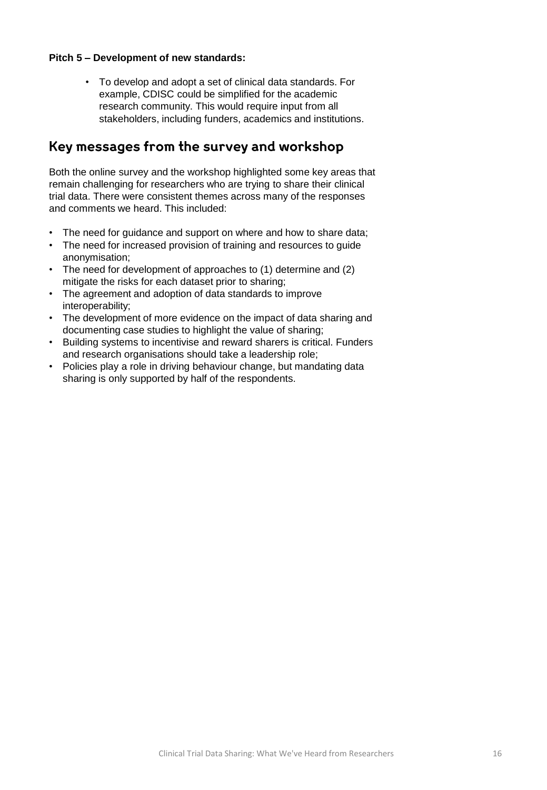#### **Pitch 5 – Development of new standards:**

• To develop and adopt a set of clinical data standards. For example, CDISC could be simplified for the academic research community. This would require input from all stakeholders, including funders, academics and institutions.

## Key messages from the survey and workshop

Both the online survey and the workshop highlighted some key areas that remain challenging for researchers who are trying to share their clinical trial data. There were consistent themes across many of the responses and comments we heard. This included:

- The need for guidance and support on where and how to share data;
- The need for increased provision of training and resources to guide anonymisation;
- The need for development of approaches to (1) determine and (2) mitigate the risks for each dataset prior to sharing;
- The agreement and adoption of data standards to improve interoperability;
- The development of more evidence on the impact of data sharing and documenting case studies to highlight the value of sharing;
- Building systems to incentivise and reward sharers is critical. Funders and research organisations should take a leadership role;
- Policies play a role in driving behaviour change, but mandating data sharing is only supported by half of the respondents.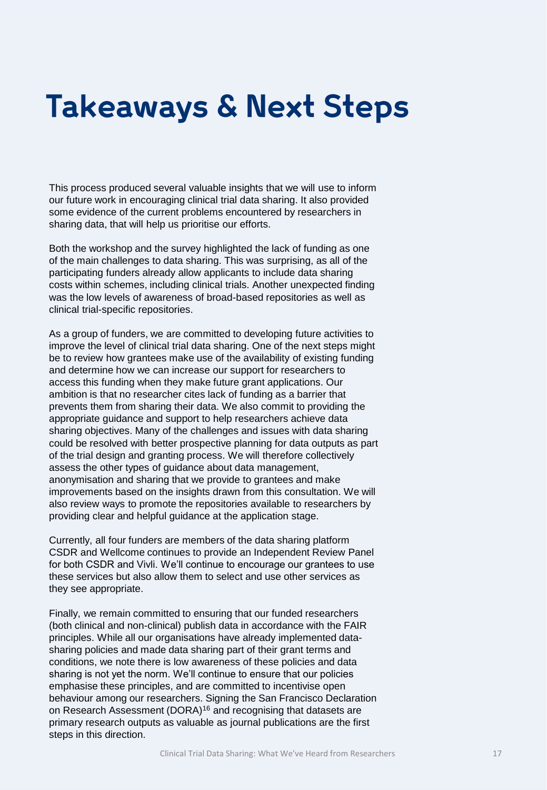## **Takeaways & Next Steps**

This process produced several valuable insights that we will use to inform our future work in encouraging clinical trial data sharing. It also provided some evidence of the current problems encountered by researchers in sharing data, that will help us prioritise our efforts.

Both the workshop and the survey highlighted the lack of funding as one of the main challenges to data sharing. This was surprising, as all of the participating funders already allow applicants to include data sharing costs within schemes, including clinical trials. Another unexpected finding was the low levels of awareness of broad-based repositories as well as clinical trial-specific repositories.

As a group of funders, we are committed to developing future activities to improve the level of clinical trial data sharing. One of the next steps might be to review how grantees make use of the availability of existing funding and determine how we can increase our support for researchers to access this funding when they make future grant applications. Our ambition is that no researcher cites lack of funding as a barrier that prevents them from sharing their data. We also commit to providing the appropriate guidance and support to help researchers achieve data sharing objectives. Many of the challenges and issues with data sharing could be resolved with better prospective planning for data outputs as part of the trial design and granting process. We will therefore collectively assess the other types of guidance about data management, anonymisation and sharing that we provide to grantees and make improvements based on the insights drawn from this consultation. We will also review ways to promote the repositories available to researchers by providing clear and helpful guidance at the application stage.

Currently, all four funders are members of the data sharing platform CSDR and Wellcome continues to provide an Independent Review Panel for both CSDR and Vivli. We'll continue to encourage our grantees to use these services but also allow them to select and use other services as they see appropriate.

Finally, we remain committed to ensuring that our funded researchers (both clinical and non-clinical) publish data in accordance with the FAIR principles. While all our organisations have already implemented datasharing policies and made data sharing part of their grant terms and conditions, we note there is low awareness of these policies and data sharing is not yet the norm. We'll continue to ensure that our policies emphasise these principles, and are committed to incentivise open behaviour among our researchers. Signing the San Francisco Declaration on Research Assessment (DORA)<sup>16</sup> and recognising that datasets are primary research outputs as valuable as journal publications are the first steps in this direction.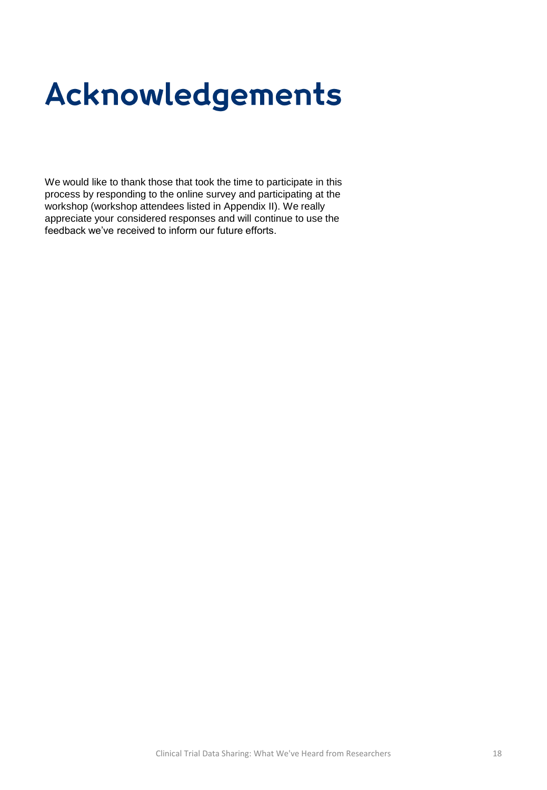# Acknowledgements

We would like to thank those that took the time to participate in this process by responding to the online survey and participating at the workshop (workshop attendees listed in Appendix II). We really appreciate your considered responses and will continue to use the feedback we've received to inform our future efforts.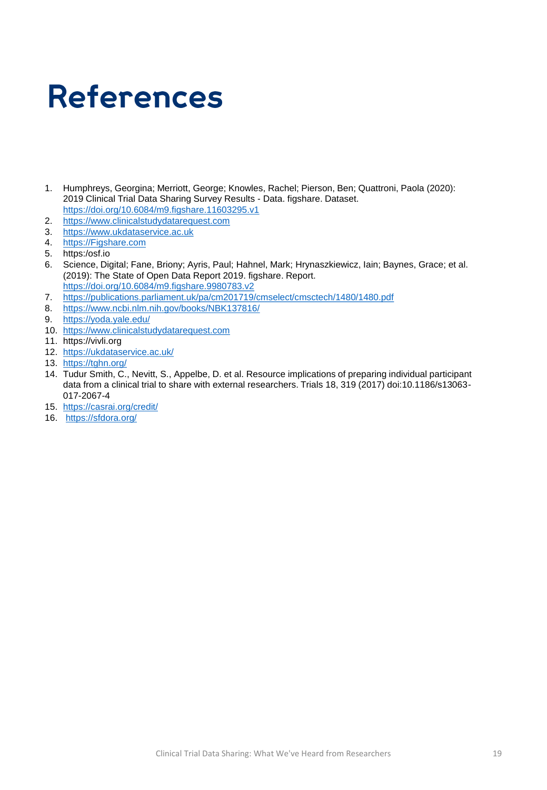# **References**

- 1. Humphreys, Georgina; Merriott, George; Knowles, Rachel; Pierson, Ben; Quattroni, Paola (2020): 2019 Clinical Trial Data Sharing Survey Results - Data. figshare. Dataset. <https://doi.org/10.6084/m9.figshare.11603295.v1>
- 2. [https://www.clinicalstudydatarequest.com](https://www.clinicalstudydatarequest.com/)
- 3. [https://www.ukdataservice.ac.uk](https://www.ukdataservice.ac.uk/)
- 4. [https://Figshare.com](https://figshare.com/)
- 5. https:/osf.io
- 6. Science, Digital; Fane, Briony; Ayris, Paul; Hahnel, Mark; Hrynaszkiewicz, Iain; Baynes, Grace; et al. (2019): The State of Open Data Report 2019. figshare. Report. <https://doi.org/10.6084/m9.figshare.9980783.v2>
- 7. <https://publications.parliament.uk/pa/cm201719/cmselect/cmsctech/1480/1480.pdf>
- 8. <https://www.ncbi.nlm.nih.gov/books/NBK137816/>
- 9. <https://yoda.yale.edu/>
- 10. [https://www.clinicalstudydatarequest.com](https://www.clinicalstudydatarequest.com/)
- 11. https://vivli.org
- 12. <https://ukdataservice.ac.uk/>
- 13. <https://tghn.org/>
- 14. Tudur Smith, C., Nevitt, S., Appelbe, D. et al. Resource implications of preparing individual participant data from a clinical trial to share with external researchers. Trials 18, 319 (2017) doi:10.1186/s13063- 017-2067-4
- 15. <https://casrai.org/credit/>
- 16. <https://sfdora.org/>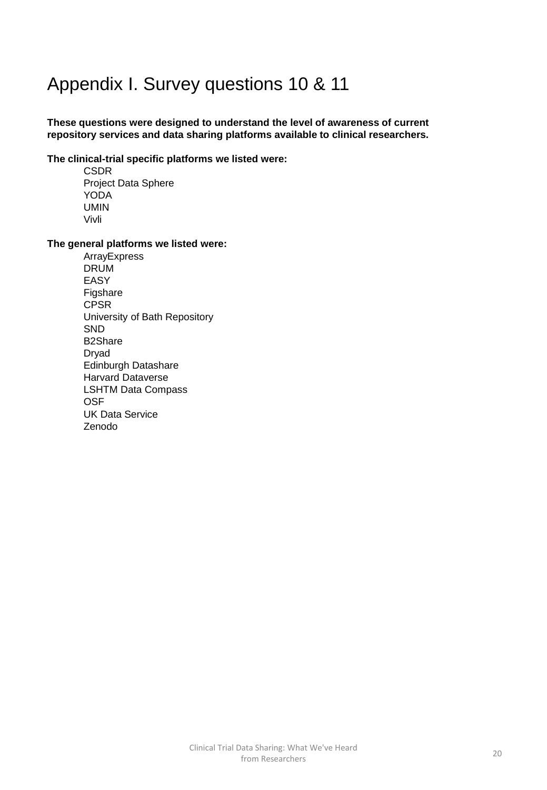## Appendix I. Survey questions 10 & 11

### **These questions were designed to understand the level of awareness of current repository services and data sharing platforms available to clinical researchers.**

### **The clinical-trial specific platforms we listed were:**

CSDR Project Data Sphere YODA UMIN Vivli

#### **The general platforms we listed were:**

ArrayExpress DRUM EASY Figshare CPSR University of Bath Repository **SND** B2Share Dryad Edinburgh Datashare Harvard Dataverse LSHTM Data Compass **OSF** UK Data Service Zenodo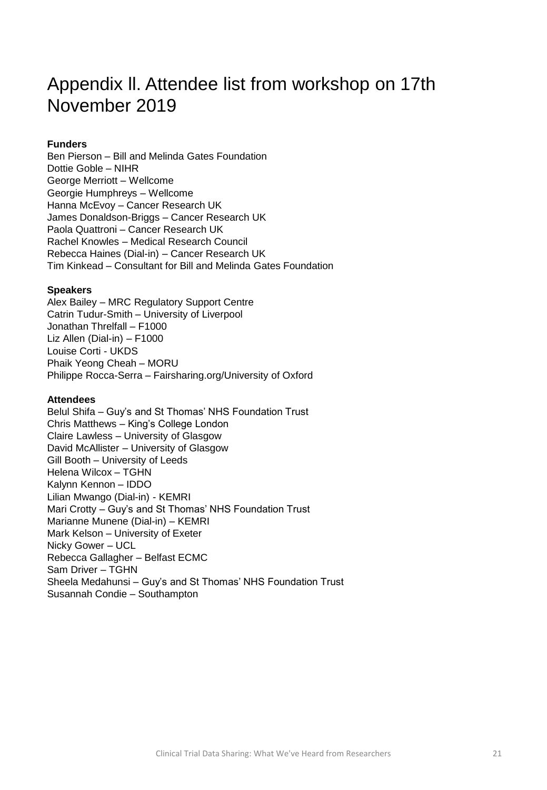## Appendix ll. Attendee list from workshop on 17th November 2019

### **Funders**

Ben Pierson – Bill and Melinda Gates Foundation Dottie Goble – NIHR George Merriott – Wellcome Georgie Humphreys – Wellcome Hanna McEvoy – Cancer Research UK James Donaldson-Briggs – Cancer Research UK Paola Quattroni – Cancer Research UK Rachel Knowles – Medical Research Council Rebecca Haines (Dial-in) – Cancer Research UK Tim Kinkead – Consultant for Bill and Melinda Gates Foundation

#### **Speakers**

Alex Bailey – MRC Regulatory Support Centre Catrin Tudur-Smith – University of Liverpool Jonathan Threlfall – F1000 Liz Allen (Dial-in) – F1000 Louise Corti - UKDS Phaik Yeong Cheah – MORU Philippe Rocca-Serra – Fairsharing.org/University of Oxford

#### **Attendees**

Belul Shifa – Guy's and St Thomas' NHS Foundation Trust Chris Matthews – King's College London Claire Lawless – University of Glasgow David McAllister – University of Glasgow Gill Booth – University of Leeds Helena Wilcox – TGHN Kalynn Kennon – IDDO Lilian Mwango (Dial-in) - KEMRI Mari Crotty – Guy's and St Thomas' NHS Foundation Trust Marianne Munene (Dial-in) – KEMRI Mark Kelson – University of Exeter Nicky Gower – UCL Rebecca Gallagher – Belfast ECMC Sam Driver – TGHN Sheela Medahunsi – Guy's and St Thomas' NHS Foundation Trust Susannah Condie – Southampton